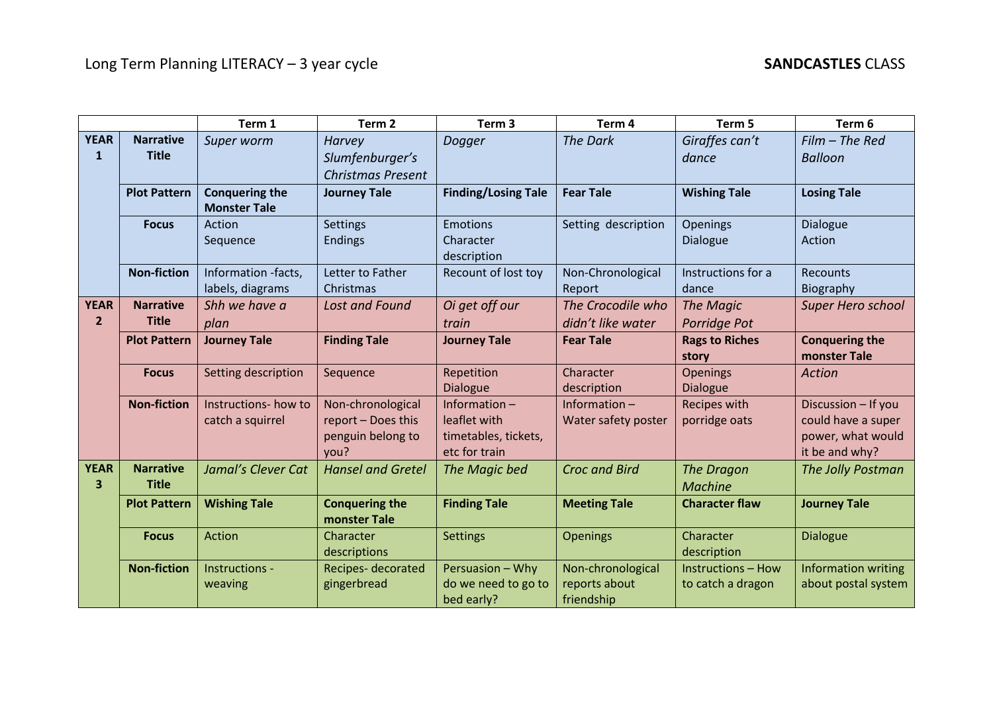|                               |                                  | Term 1                                       | Term <sub>2</sub>                                                    | Term <sub>3</sub>                                                     | Term 4                                           | Term 5                                         | Term 6                                                                           |
|-------------------------------|----------------------------------|----------------------------------------------|----------------------------------------------------------------------|-----------------------------------------------------------------------|--------------------------------------------------|------------------------------------------------|----------------------------------------------------------------------------------|
| <b>YEAR</b><br>$\mathbf{1}$   | <b>Narrative</b><br><b>Title</b> | Super worm                                   | <b>Harvey</b><br>Slumfenburger's<br><b>Christmas Present</b>         | Dogger                                                                | <b>The Dark</b>                                  | Giraffes can't<br>dance                        | $Film$ – The Red<br><b>Balloon</b>                                               |
|                               | <b>Plot Pattern</b>              | <b>Conquering the</b><br><b>Monster Tale</b> | <b>Journey Tale</b>                                                  | <b>Finding/Losing Tale</b>                                            | <b>Fear Tale</b>                                 | <b>Wishing Tale</b>                            | <b>Losing Tale</b>                                                               |
|                               | <b>Focus</b>                     | Action<br>Sequence                           | <b>Settings</b><br><b>Endings</b>                                    | <b>Emotions</b><br>Character<br>description                           | Setting description                              | <b>Openings</b><br><b>Dialogue</b>             | <b>Dialogue</b><br>Action                                                        |
|                               | <b>Non-fiction</b>               | Information -facts,<br>labels, diagrams      | Letter to Father<br>Christmas                                        | Recount of lost toy                                                   | Non-Chronological<br>Report                      | Instructions for a<br>dance                    | Recounts<br>Biography                                                            |
| <b>YEAR</b><br>2 <sup>1</sup> | <b>Narrative</b><br><b>Title</b> | Shh we have a<br>plan                        | <b>Lost and Found</b>                                                | Oi get off our<br>train                                               | The Crocodile who<br>didn't like water           | The Magic<br>Porridge Pot                      | <b>Super Hero school</b>                                                         |
|                               | <b>Plot Pattern</b>              | <b>Journey Tale</b>                          | <b>Finding Tale</b>                                                  | <b>Journey Tale</b>                                                   | <b>Fear Tale</b>                                 | <b>Rags to Riches</b><br>story                 | <b>Conquering the</b><br>monster Tale                                            |
|                               | <b>Focus</b>                     | Setting description                          | Sequence                                                             | Repetition<br><b>Dialogue</b>                                         | Character<br>description                         | <b>Openings</b><br><b>Dialogue</b>             | <b>Action</b>                                                                    |
|                               | <b>Non-fiction</b>               | Instructions- how to<br>catch a squirrel     | Non-chronological<br>report - Does this<br>penguin belong to<br>you? | Information-<br>leaflet with<br>timetables, tickets,<br>etc for train | Information $-$<br>Water safety poster           | Recipes with<br>porridge oats                  | Discussion - If you<br>could have a super<br>power, what would<br>it be and why? |
| <b>YEAR</b><br>3              | <b>Narrative</b><br><b>Title</b> | Jamal's Clever Cat                           | <b>Hansel and Gretel</b>                                             | The Magic bed                                                         | <b>Croc and Bird</b>                             | The Dragon<br><b>Machine</b>                   | The Jolly Postman                                                                |
|                               | <b>Plot Pattern</b>              | <b>Wishing Tale</b>                          | <b>Conquering the</b><br>monster Tale                                | <b>Finding Tale</b>                                                   | <b>Meeting Tale</b>                              | <b>Character flaw</b>                          | <b>Journey Tale</b>                                                              |
|                               | <b>Focus</b>                     | Action                                       | Character<br>descriptions                                            | <b>Settings</b>                                                       | <b>Openings</b>                                  | Character<br>description                       | <b>Dialogue</b>                                                                  |
|                               | <b>Non-fiction</b>               | Instructions -<br>weaving                    | Recipes-decorated<br>gingerbread                                     | Persuasion - Why<br>do we need to go to<br>bed early?                 | Non-chronological<br>reports about<br>friendship | <b>Instructions - How</b><br>to catch a dragon | <b>Information writing</b><br>about postal system                                |